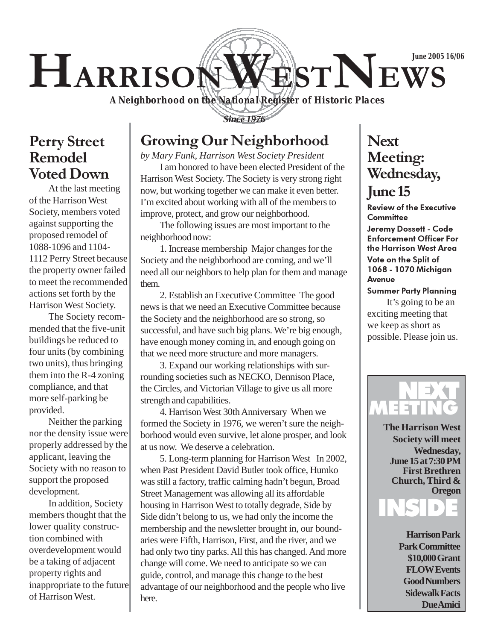# HARRISONWESTNEWS **June 2005 16/06**

*A Neighborhood on the National Register of Historic Places*

*Since 1976*

Perry Street Remodel

Voted Down

At the last meeting of the Harrison West Society, members voted against supporting the proposed remodel of 1088-1096 and 1104- 1112 Perry Street because the property owner failed to meet the recommended actions set forth by the Harrison West Society.

The Society recommended that the five-unit buildings be reduced to four units (by combining two units), thus bringing them into the R-4 zoning compliance, and that more self-parking be provided.

Neither the parking nor the density issue were properly addressed by the applicant, leaving the Society with no reason to support the proposed development.

In addition, Society members thought that the lower quality construction combined with overdevelopment would be a taking of adjacent property rights and inappropriate to the future of Harrison West.

# Growing Our Neighborhood

*by Mary Funk, Harrison West Society President* I am honored to have been elected President of the Harrison West Society. The Society is very strong right now, but working together we can make it even better. I'm excited about working with all of the members to improve, protect, and grow our neighborhood.

The following issues are most important to the neighborhood now:

1. Increase membership Major changes for the Society and the neighborhood are coming, and we'll need all our neighbors to help plan for them and manage them.

2. Establish an Executive Committee The good news is that we need an Executive Committee because the Society and the neighborhood are so strong, so successful, and have such big plans. We're big enough, have enough money coming in, and enough going on that we need more structure and more managers.

3. Expand our working relationships with surrounding societies such as NECKO, Dennison Place, the Circles, and Victorian Village to give us all more strength and capabilities.

4. Harrison West 30th Anniversary When we formed the Society in 1976, we weren't sure the neighborhood would even survive, let alone prosper, and look at us now. We deserve a celebration.

5. Long-term planning for Harrison West In 2002, when Past President David Butler took office, Humko was still a factory, traffic calming hadn't begun, Broad Street Management was allowing all its affordable housing in Harrison West to totally degrade, Side by Side didn't belong to us, we had only the income the membership and the newsletter brought in, our boundaries were Fifth, Harrison, First, and the river, and we had only two tiny parks. All this has changed. And more change will come. We need to anticipate so we can guide, control, and manage this change to the best advantage of our neighborhood and the people who live here.

# **Next** Meeting: Wednesday,

#### June 15

Review of the Executive **Committee** 

Jeremy Dossett - Code Enforcement Officer For the Harrison West Area Vote on the Split of 1068 - 1070 Michigan Avenue

Summer Party Planning

It's going to be an exciting meeting that we keep as short as possible. Please join us.



**The Harrison West Society will meet Wednesday, June 15 at 7:30 PM First Brethren Church, Third & Oregon**



**Harrison Park Park Committee \$10,000 Grant FLOW Events Good Numbers Sidewalk Facts Due Amici**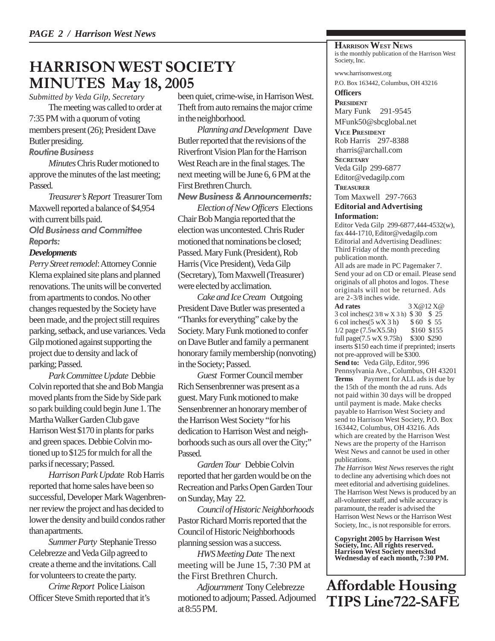#### HARRISON WEST SOCIETY MINUTES May 18, 2005

*Submitted by Veda Gilp, Secretary*

The meeting was called to order at 7:35 PM with a quorum of voting members present (26); President Dave Butler presiding.

#### Routine Business

*Minutes* Chris Ruder motioned to approve the minutes of the last meeting; Passed.

*Treasurer's Report* Treasurer Tom Maxwell reported a balance of \$4,954 with current bills paid.

Old Business and Committee Reports:

#### *Developments*

*Perry Street remodel*: Attorney Connie Klema explained site plans and planned renovations. The units will be converted from apartments to condos. No other changes requested by the Society have been made, and the project still requires parking, setback, and use variances. Veda Gilp motioned against supporting the project due to density and lack of parking; Passed.

*Park Committee Update* Debbie Colvin reported that she and Bob Mangia moved plants from the Side by Side park so park building could begin June 1. The Martha Walker Garden Club gave Harrison West \$170 in plants for parks and green spaces. Debbie Colvin motioned up to \$125 for mulch for all the parks if necessary; Passed.

*Harrison Park Update* Rob Harris reported that home sales have been so successful, Developer Mark Wagenbrenner review the project and has decided to lower the density and build condos rather than apartments.

*Summer Party* Stephanie Tresso Celebrezze and Veda Gilp agreed to create a theme and the invitations. Call for volunteers to create the party.

*Crime Report* Police Liaison Officer Steve Smith reported that it's been quiet, crime-wise, in Harrison West. Theft from auto remains the major crime in the neighborhood.

*Planning and Development* Dave Butler reported that the revisions of the Riverfront Vision Plan for the Harrison West Reach are in the final stages. The next meeting will be June 6, 6 PM at the First Brethren Church.

#### New Business & Announcements:

*Election of New Officers* Elections Chair Bob Mangia reported that the election was uncontested. Chris Ruder motioned that nominations be closed; Passed. Mary Funk (President), Rob Harris (Vice President), Veda Gilp (Secretary), Tom Maxwell (Treasurer) were elected by acclimation.

*Cake and Ice Cream* Outgoing President Dave Butler was presented a "Thanks for everything" cake by the Society. Mary Funk motioned to confer on Dave Butler and family a permanent honorary family membership (nonvoting) in the Society; Passed.

*Guest* Former Council member Rich Sensenbrenner was present as a guest. Mary Funk motioned to make Sensenbrenner an honorary member of the Harrison West Society "for his dedication to Harrison West and neighborhoods such as ours all over the City;" **Passed.** 

*Garden Tour* Debbie Colvin reported that her garden would be on the Recreation and Parks Open Garden Tour on Sunday, May 22.

*Council of Historic Neighborhoods* Pastor Richard Morris reported that the Council of Historic Neighborhoods planning session was a success.

*HWS Meeting Date* The next meeting will be June 15, 7:30 PM at the First Brethren Church.

*Adjournment* Tony Celebrezze motioned to adjourn; Passed. Adjourned at 8:55 PM.

**HARRISON WEST NEWS** is the monthly publication of the Harrison West Society, Inc.

www.harrisonwest.org P.O. Box 163442, Columbus, OH 43216

**Officers PRESIDENT** Mary Funk 291-9545 MFunk50@sbcglobal.net

**VICE PRESIDENT** Rob Harris 297-8388 rharris@archall.com

**SECRETARY** Veda Gilp 299-6877 Editor@vedagilp.com

**TREASURER**

Tom Maxwell 297-7663 **Editorial and Advertising**

**Information:**

Editor Veda Gilp 299-6877,444-4532(w), fax 444-1710, Editor@vedagilp.com Editorial and Advertising Deadlines: Third Friday of the month preceding publication month.

All ads are made in PC Pagemaker 7. Send your ad on CD or email. Please send originals of all photos and logos. These originals will not be returned. Ads are 2-3/8 inches wide.

**Ad rates** 3 X@12 X@ 3 col inches(2 3/8 w X 3 h) \$ 30 \$ 25 6 col inches(5 wX 3 h) \$ 60 \$ 55 1/2 page (7.5wX5.5h) \$160 \$155 full page(7.5 wX 9.75h) \$300 \$290 inserts \$150 each time if preprinted; inserts not pre-approved will be \$300. **Send to:** Veda Gilp, Editor, 996 Pennsylvania Ave., Columbus, OH 43201 **Terms** Payment for ALL ads is due by the 15th of the month the ad runs. Ads not paid within 30 days will be dropped until payment is made. Make checks payable to Harrison West Society and send to Harrison West Society, P.O. Box 163442, Columbus, OH 43216. Ads which are created by the Harrison West News are the property of the Harrison West News and cannot be used in other publications.

*The Harrison West News* reserves the right to decline any advertising which does not meet editorial and advertising guidelines. The Harrison West News is produced by an all-volunteer staff, and while accuracy is paramount, the reader is advised the Harrison West News or the Harrison West Society, Inc., is not responsible for errors.

**Copyright 2005 by Harrison West Society, Inc. All rights reserved. Harrison West Society meets3nd Wednesday of each month, 7:30 PM.**

Affordable Housing TIPS Line722-SAFE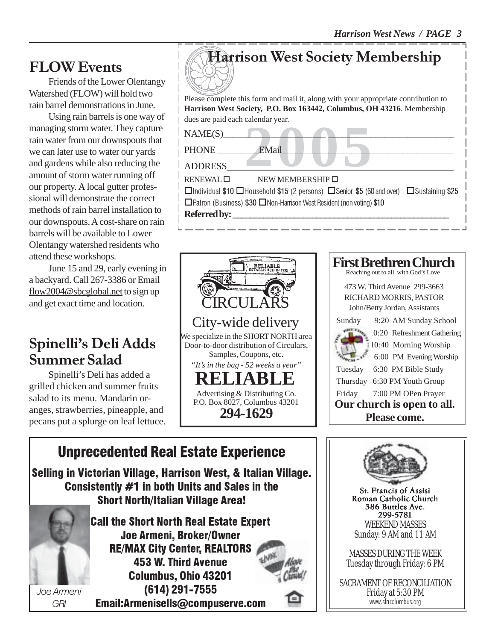Friends of the Lower Olentangy Watershed (FLOW) will hold two rain barrel demonstrations in June.

Using rain barrels is one way of managing storm water. They capture rain water from our downspouts that we can later use to water our yards and gardens while also reducing the amount of storm water running off our property. A local gutter professional will demonstrate the correct methods of rain barrel installation to our downspouts. A cost-share on rain barrels will be available to Lower Olentangy watershed residents who attend these workshops.

June 15 and 29, early evening in a backyard. Call 267-3386 or Email flow2004@sbcglobal.net to sign up and get exact time and location.

# Spinelli's Deli Adds Summer Salad

Spinelli's Deli has added a grilled chicken and summer fruits salad to its menu. Mandarin oranges, strawberries, pineapple, and pecans put a splurge on leaf lettuce.



 $\square$  Patron (Business) \$30  $\square$  Non-Harrison West Resident (non voting) \$10



#### Unprecedented Real Estate Experience Joe Armeni GRI Selling in Victorian Village, Harrison West, & Italian Village. Consistently #1 in both Units and Sales in the Short North/Italian Village Area! Call the Short North Real Estate Expert Joe Armeni, Broker/Owner RE/MAX City Center, REALTORS 453 W. Third Avenue Columbus, Ohio 43201 (614) 291-7555 Email:Armenisells@compuserve.com

Referred by:

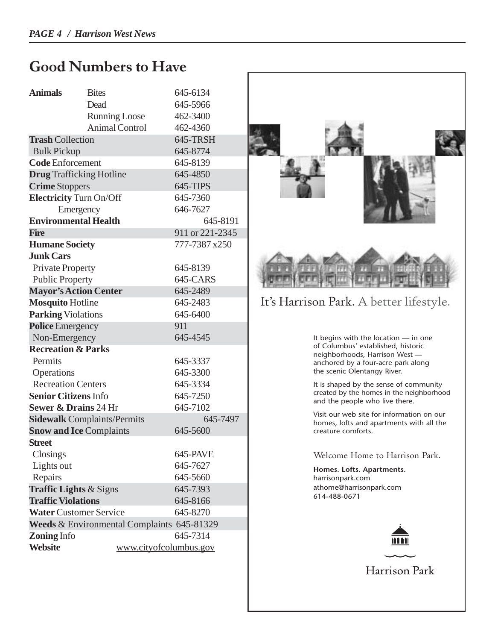## Good Numbers to Have

| <b>Animals</b>                             | <b>Bites</b>           | 645-6134        |
|--------------------------------------------|------------------------|-----------------|
|                                            | Dead                   | 645-5966        |
|                                            | <b>Running Loose</b>   | 462-3400        |
|                                            | <b>Animal Control</b>  | 462-4360        |
| <b>Trash Collection</b>                    |                        | 645-TRSH        |
| <b>Bulk Pickup</b>                         |                        | 645-8774        |
| <b>Code Enforcement</b>                    |                        | 645-8139        |
| <b>Drug</b> Trafficking Hotline            |                        | 645-4850        |
| <b>Crime Stoppers</b>                      |                        | 645-TIPS        |
| <b>Electricity Turn On/Off</b>             |                        | 645-7360        |
| Emergency                                  |                        | 646-7627        |
| <b>Environmental Health</b>                |                        | 645-8191        |
| <b>Fire</b>                                |                        | 911 or 221-2345 |
| <b>Humane Society</b>                      |                        | 777-7387 x250   |
| <b>Junk Cars</b>                           |                        |                 |
| <b>Private Property</b>                    |                        | 645-8139        |
| <b>Public Property</b>                     |                        | 645-CARS        |
| <b>Mayor's Action Center</b>               |                        | 645-2489        |
| <b>Mosquito Hotline</b>                    |                        | 645-2483        |
| <b>Parking Violations</b>                  |                        | 645-6400        |
| <b>Police Emergency</b>                    |                        | 911             |
| Non-Emergency                              |                        | 645-4545        |
| <b>Recreation &amp; Parks</b>              |                        |                 |
| Permits                                    |                        | 645-3337        |
| Operations                                 |                        | 645-3300        |
| <b>Recreation Centers</b>                  |                        | 645-3334        |
| <b>Senior Citizens Info</b>                |                        | 645-7250        |
| <b>Sewer &amp; Drains 24 Hr</b>            |                        | 645-7102        |
| <b>Sidewalk Complaints/Permits</b>         |                        | 645-7497        |
| <b>Snow and Ice Complaints</b>             |                        | 645-5600        |
| <b>Street</b>                              |                        |                 |
| Closings                                   |                        | 645-PAVE        |
| Lights out                                 |                        | 645-7627        |
| Repairs                                    |                        | 645-5660        |
| <b>Traffic Lights &amp; Signs</b>          |                        | 645-7393        |
| <b>Traffic Violations</b>                  |                        | 645-8166        |
| <b>Water Customer Service</b>              |                        | 645-8270        |
| Weeds & Environmental Complaints 645-81329 |                        |                 |
| <b>Zoning Info</b><br>645-7314             |                        |                 |
| <b>Website</b>                             | www.cityofcolumbus.gov |                 |



It's Harrison Park. A better lifestyle.

It begins with the location — in one of Columbus' established, historic neighborhoods, Harrison West anchored by a four-acre park along the scenic Olentangy River.

It is shaped by the sense of community created by the homes in the neighborhood and the people who live there.

Visit our web site for information on our homes, lofts and apartments with all the creature comforts.

Welcome Home to Harrison Park.

**Homes. Lofts. Apartments.** harrisonpark.com athome@harrisonpark.com 614-488-0671



Harrison Park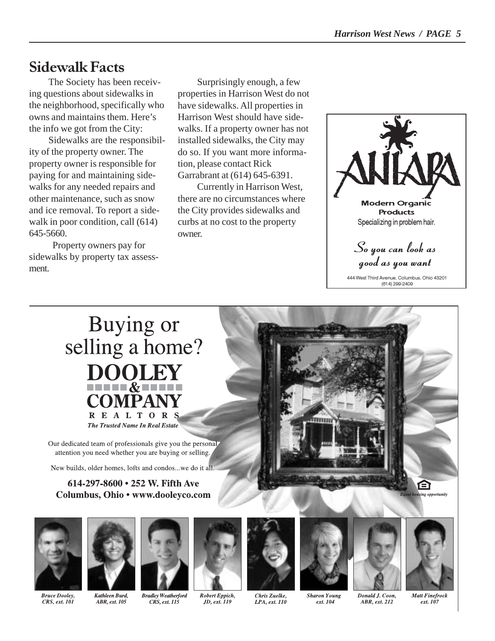### Sidewalk Facts

The Society has been receiving questions about sidewalks in the neighborhood, specifically who owns and maintains them. Here's the info we got from the City:

Sidewalks are the responsibility of the property owner. The property owner is responsible for paying for and maintaining sidewalks for any needed repairs and other maintenance, such as snow and ice removal. To report a sidewalk in poor condition, call  $(614)$ 645-5660.

 Property owners pay for sidewalks by property tax assessment.

Surprisingly enough, a few properties in Harrison West do not have sidewalks. All properties in Harrison West should have sidewalks. If a property owner has not installed sidewalks, the City may do so. If you want more information, please contact Rick Garrabrant at (614) 645-6391.

Currently in Harrison West, there are no circumstances where the City provides sidewalks and curbs at no cost to the property owner.



444 West Third Avenue, Columbus, Ohio 43201 (614) 299-2409

#### Buying or selling a home? **DOOLEY THEFT & BEER COMPANY** REALTOR **The Trusted Name In Real Estate**

Our dedicated team of professionals give you the personal attention you need whether you are buying or selling.

New builds, older homes, lofts and condos...we do it all

#### 614-297-8600 • 252 W. Fifth Ave Columbus, Ohio • www.dooleyco.com















**Bruce Dooley,** CRS, ext. 101

Kathleen Burd, ABR, ext. 105

Robert Eppich, CRS, ext. 115 JD, ext. 119

Chris Zuelke, LPA, ext. 110 **Sharon Young** ext. 104

Donald J. Coon, ABR, ext. 212

**Matt Finefrock** ext. 107

e opportunity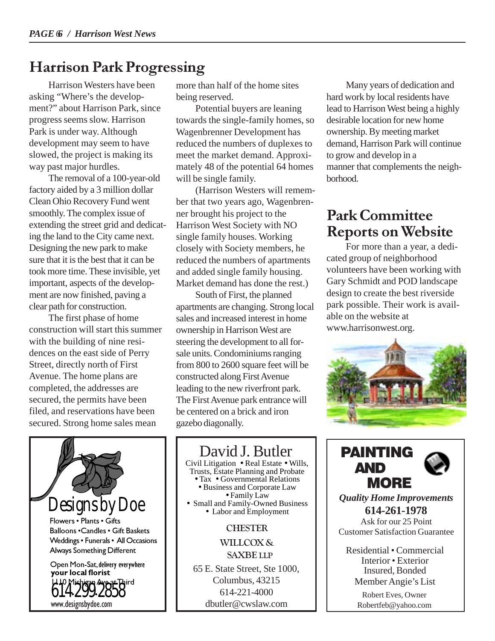# Harrison Park Progressing

Harrison Westers have been asking "Where's the development?" about Harrison Park, since progress seems slow. Harrison Park is under way. Although development may seem to have slowed, the project is making its way past major hurdles.

The removal of a 100-year-old factory aided by a 3 million dollar Clean Ohio Recovery Fund went smoothly. The complex issue of extending the street grid and dedicating the land to the City came next. Designing the new park to make sure that it is the best that it can be took more time. These invisible, yet important, aspects of the development are now finished, paving a clear path for construction.

The first phase of home construction will start this summer with the building of nine residences on the east side of Perry Street, directly north of First Avenue. The home plans are completed, the addresses are secured, the permits have been filed, and reservations have been secured. Strong home sales mean

more than half of the home sites being reserved.

Potential buyers are leaning towards the single-family homes, so Wagenbrenner Development has reduced the numbers of duplexes to meet the market demand. Approximately 48 of the potential 64 homes will be single family.

(Harrison Westers will remember that two years ago, Wagenbrenner brought his project to the Harrison West Society with NO single family houses. Working closely with Society members, he reduced the numbers of apartments and added single family housing. Market demand has done the rest.)

South of First, the planned apartments are changing. Strong local sales and increased interest in home ownership in Harrison West are steering the development to all forsale units. Condominiums ranging from 800 to 2600 square feet will be constructed along First Avenue leading to the new riverfront park. The First Avenue park entrance will be centered on a brick and iron gazebo diagonally.

Many years of dedication and hard work by local residents have lead to Harrison West being a highly desirable location for new home ownership. By meeting market demand, Harrison Park will continue to grow and develop in a manner that complements the neighborhood.

# Park Committee Reports on Website

For more than a year, a dedicated group of neighborhood volunteers have been working with Gary Schmidt and POD landscape design to create the best riverside park possible. Their work is available on the website at www.harrisonwest.org.





David J. Butler Civil Litigation • Real Estate • Wills, Trusts, Estate Planning and Probate

• Tax • Governmental Relations<br>• Business and Corporate Law<br>• Family Law • Small and Family-Owned Business<br>• Labor and Employment

#### **CHESTER**

WILLCOX & SAXBE LLP

65 E. State Street, Ste 1000, Columbus, 43215 614-221-4000 dbutler@cwslaw.com



*Quality Home Improvements* **614-261-1978** Ask for our 25 Point Customer Satisfaction Guarantee

Residential • Commercial Interior • Exterior Insured, Bonded Member Angie's List

> Robert Eves, Owner Robertfeb@yahoo.com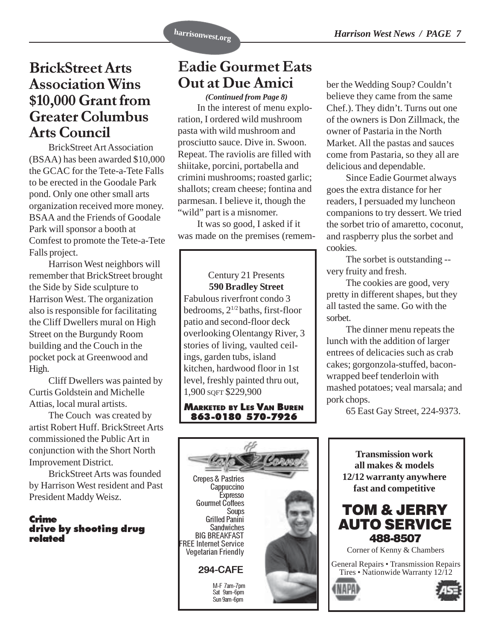#### BrickStreet Arts Association Wins \$10,000 Grant from Greater Columbus Arts Council

BrickStreet Art Association (BSAA) has been awarded \$10,000 the GCAC for the Tete-a-Tete Falls to be erected in the Goodale Park pond. Only one other small arts organization received more money. BSAA and the Friends of Goodale Park will sponsor a booth at Comfest to promote the Tete-a-Tete Falls project.

Harrison West neighbors will remember that BrickStreet brought the Side by Side sculpture to Harrison West. The organization also is responsible for facilitating the Cliff Dwellers mural on High Street on the Burgundy Room building and the Couch in the pocket pock at Greenwood and High.

Cliff Dwellers was painted by Curtis Goldstein and Michelle Attias, local mural artists.

The Couch was created by artist Robert Huff. BrickStreet Arts commissioned the Public Art in conjunction with the Short North Improvement District.

BrickStreet Arts was founded by Harrison West resident and Past President Maddy Weisz.

#### Crime drive by shooting drug related

# Eadie Gourmet Eats Out at Due Amici

*(Continued from Page 8)* In the interest of menu exploration, I ordered wild mushroom pasta with wild mushroom and prosciutto sauce. Dive in. Swoon. Repeat. The raviolis are filled with shiitake, porcini, portabella and crimini mushrooms; roasted garlic; shallots; cream cheese; fontina and parmesan. I believe it, though the "wild" part is a misnomer.

It was so good, I asked if it was made on the premises (remem-

Century 21 Presents **590 Bradley Street** Fabulous riverfront condo 3 bedrooms, 21/2 baths, first-floor patio and second-floor deck overlooking Olentangy River, 3 stories of living, vaulted ceilings, garden tubs, island kitchen, hardwood floor in 1st level, freshly painted thru out, 1,900 SQFT \$229,900

MARKETED BY LES VAN BUREN 863-0180 570-7926

ber the Wedding Soup? Couldn't believe they came from the same Chef.). They didn't. Turns out one of the owners is Don Zillmack, the owner of Pastaria in the North Market. All the pastas and sauces come from Pastaria, so they all are delicious and dependable.

Since Eadie Gourmet always goes the extra distance for her readers, I persuaded my luncheon companions to try dessert. We tried the sorbet trio of amaretto, coconut, and raspberry plus the sorbet and cookies.

The sorbet is outstanding - very fruity and fresh.

The cookies are good, very pretty in different shapes, but they all tasted the same. Go with the sorbet.

The dinner menu repeats the lunch with the addition of larger entrees of delicacies such as crab cakes; gorgonzola-stuffed, baconwrapped beef tenderloin with mashed potatoes; veal marsala; and pork chops.

65 East Gay Street, 224-9373.



**Transmission work all makes & models 12/12 warranty anywhere fast and competitive**



Corner of Kenny & Chambers

General Repairs • Transmission Repairs Tires • Nationwide Warranty 12/12